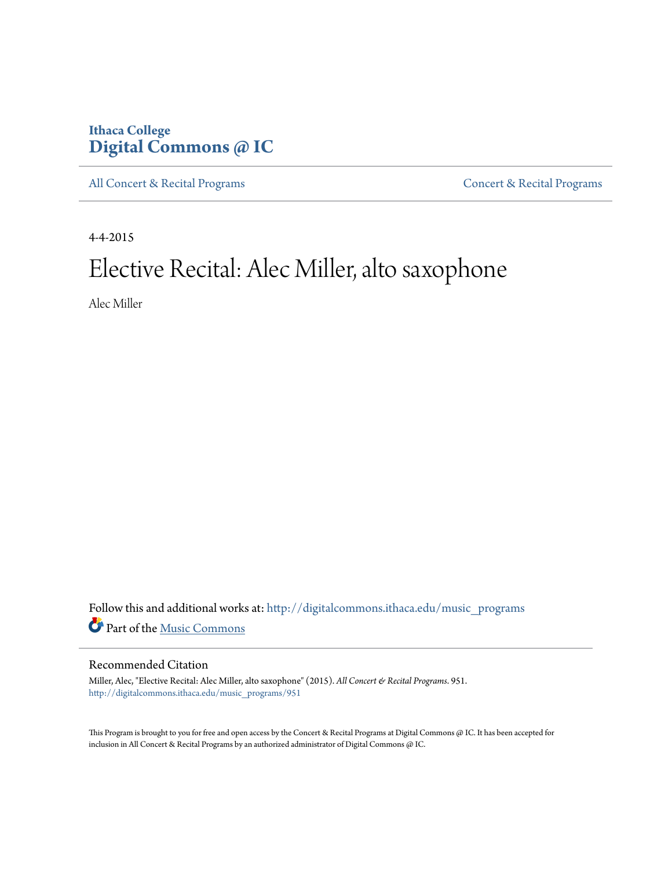## **Ithaca College [Digital Commons @ IC](http://digitalcommons.ithaca.edu?utm_source=digitalcommons.ithaca.edu%2Fmusic_programs%2F951&utm_medium=PDF&utm_campaign=PDFCoverPages)**

[All Concert & Recital Programs](http://digitalcommons.ithaca.edu/music_programs?utm_source=digitalcommons.ithaca.edu%2Fmusic_programs%2F951&utm_medium=PDF&utm_campaign=PDFCoverPages) **[Concert & Recital Programs](http://digitalcommons.ithaca.edu/som_programs?utm_source=digitalcommons.ithaca.edu%2Fmusic_programs%2F951&utm_medium=PDF&utm_campaign=PDFCoverPages)** 

4-4-2015

# Elective Recital: Alec Miller, alto saxophone

Alec Miller

Follow this and additional works at: [http://digitalcommons.ithaca.edu/music\\_programs](http://digitalcommons.ithaca.edu/music_programs?utm_source=digitalcommons.ithaca.edu%2Fmusic_programs%2F951&utm_medium=PDF&utm_campaign=PDFCoverPages) Part of the [Music Commons](http://network.bepress.com/hgg/discipline/518?utm_source=digitalcommons.ithaca.edu%2Fmusic_programs%2F951&utm_medium=PDF&utm_campaign=PDFCoverPages)

#### Recommended Citation

Miller, Alec, "Elective Recital: Alec Miller, alto saxophone" (2015). *All Concert & Recital Programs*. 951. [http://digitalcommons.ithaca.edu/music\\_programs/951](http://digitalcommons.ithaca.edu/music_programs/951?utm_source=digitalcommons.ithaca.edu%2Fmusic_programs%2F951&utm_medium=PDF&utm_campaign=PDFCoverPages)

This Program is brought to you for free and open access by the Concert & Recital Programs at Digital Commons @ IC. It has been accepted for inclusion in All Concert & Recital Programs by an authorized administrator of Digital Commons @ IC.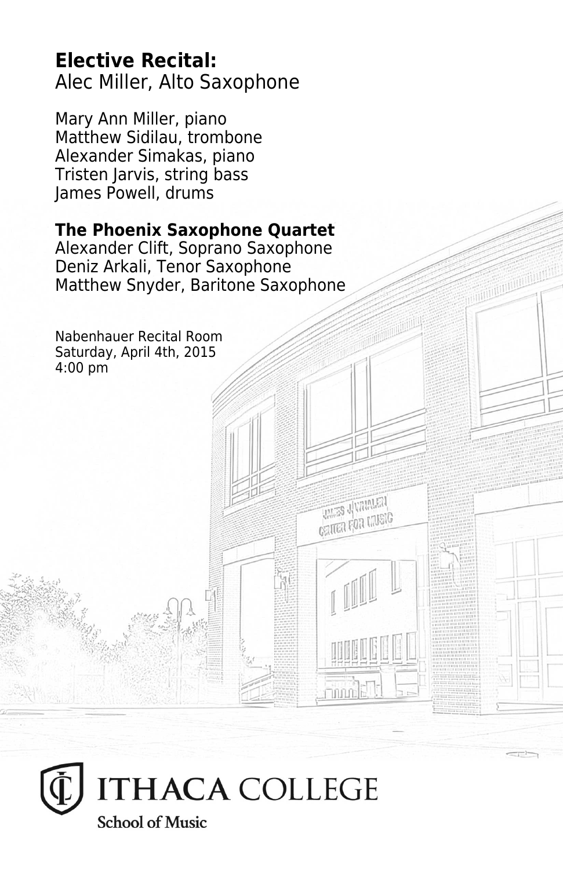### **Elective Recital:** Alec Miller, Alto Saxophone

Mary Ann Miller, piano Matthew Sidilau, trombone Alexander Simakas, piano Tristen Jarvis, string bass James Powell, drums

#### **The Phoenix Saxophone Quartet**

Alexander Clift, Soprano Saxophone Deniz Arkali, Tenor Saxophone Matthew Snyder, Baritone Saxophone

**UNITED** SUMMARY **CEITED FOR CRUSIC** 

innn<sup>n</sup>E

Nabenhauer Recital Room Saturday, April 4th, 2015 4:00 pm